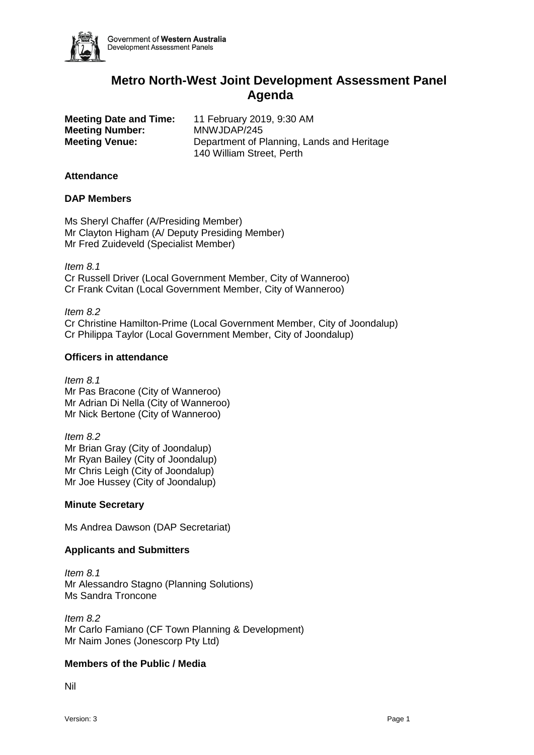

Government of Western Australia Development Assessment Panels

# **Metro North-West Joint Development Assessment Panel Agenda**

**Meeting Number:** MNWJDAP/245

**Meeting Date and Time:** 11 February 2019, 9:30 AM **Meeting Venue:** Department of Planning, Lands and Heritage 140 William Street, Perth

## **Attendance**

### **DAP Members**

Ms Sheryl Chaffer (A/Presiding Member) Mr Clayton Higham (A/ Deputy Presiding Member) Mr Fred Zuideveld (Specialist Member)

*Item 8.1* Cr Russell Driver (Local Government Member, City of Wanneroo) Cr Frank Cvitan (Local Government Member, City of Wanneroo)

*Item 8.2* Cr Christine Hamilton-Prime (Local Government Member, City of Joondalup) Cr Philippa Taylor (Local Government Member, City of Joondalup)

### **Officers in attendance**

*Item 8.1* Mr Pas Bracone (City of Wanneroo) Mr Adrian Di Nella (City of Wanneroo) Mr Nick Bertone (City of Wanneroo)

*Item 8.2* Mr Brian Gray (City of Joondalup) Mr Ryan Bailey (City of Joondalup) Mr Chris Leigh (City of Joondalup) Mr Joe Hussey (City of Joondalup)

## **Minute Secretary**

Ms Andrea Dawson (DAP Secretariat)

## **Applicants and Submitters**

*Item 8.1* Mr Alessandro Stagno (Planning Solutions) Ms Sandra Troncone

*Item 8.2* Mr Carlo Famiano (CF Town Planning & Development) Mr Naim Jones (Jonescorp Pty Ltd)

## **Members of the Public / Media**

Nil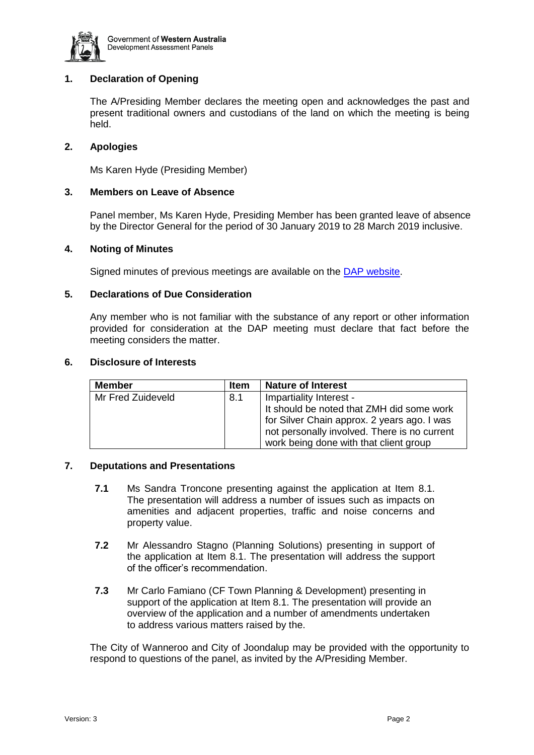

# **1. Declaration of Opening**

The A/Presiding Member declares the meeting open and acknowledges the past and present traditional owners and custodians of the land on which the meeting is being held.

### **2. Apologies**

Ms Karen Hyde (Presiding Member)

## **3. Members on Leave of Absence**

Panel member, Ms Karen Hyde, Presiding Member has been granted leave of absence by the Director General for the period of 30 January 2019 to 28 March 2019 inclusive.

#### **4. Noting of Minutes**

Signed minutes of previous meetings are available on the [DAP website.](https://www.dplh.wa.gov.au/about/development-assessment-panels/daps-agendas-and-minutes)

### **5. Declarations of Due Consideration**

Any member who is not familiar with the substance of any report or other information provided for consideration at the DAP meeting must declare that fact before the meeting considers the matter.

#### **6. Disclosure of Interests**

| <b>Member</b>     | <b>Item</b> | <b>Nature of Interest</b>                    |
|-------------------|-------------|----------------------------------------------|
| Mr Fred Zuideveld | 8.1         | Impartiality Interest -                      |
|                   |             | It should be noted that ZMH did some work    |
|                   |             | for Silver Chain approx. 2 years ago. I was  |
|                   |             | not personally involved. There is no current |
|                   |             | work being done with that client group       |

#### **7. Deputations and Presentations**

- **7.1** Ms Sandra Troncone presenting against the application at Item 8.1. The presentation will address a number of issues such as impacts on amenities and adjacent properties, traffic and noise concerns and property value.
- **7.2** Mr Alessandro Stagno (Planning Solutions) presenting in support of the application at Item 8.1. The presentation will address the support of the officer's recommendation.
- **7.3** Mr Carlo Famiano (CF Town Planning & Development) presenting in support of the application at Item 8.1. The presentation will provide an overview of the application and a number of amendments undertaken to address various matters raised by the.

The City of Wanneroo and City of Joondalup may be provided with the opportunity to respond to questions of the panel, as invited by the A/Presiding Member.